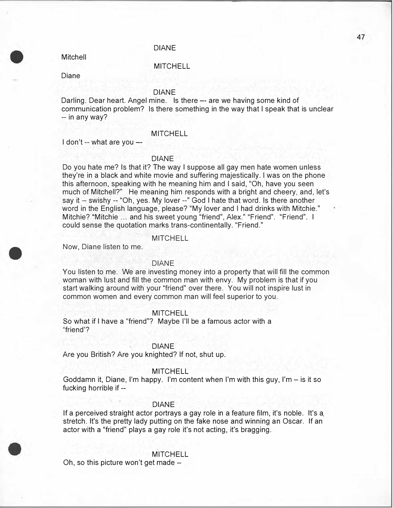## DIANE

Mitchell

## **MITCHELL**

Diane

# DIANE

Darling. Dear heart. Angel mine. Is there -- are we having some kind of communication problem? Is there something in the way that I speak that is unclear -- in any way?

#### MITCHELL

I don't -- what are you --

## DIANE

Do you hate me? Is that it? The way I suppose all gay men hate women unless they're in a black and white movie and suffering majestically. I was on the phone this afternoon, speaking with he meaning him and I said, "Oh, have you seen much of Mitchell?" He meaning him responds with a bright and cheery, and, let's say it -- swishy -- "Oh, yes. My lover --" God I hate that word. Is there another word in the English language, please? "My lover and I had drinks with Mitchie." Mitchie? "Mitchie ... and his sweet young "friend", Alex." "Friend". "Friend". I could sense the quotation marks trans-continentally. "Friend."

#### **MITCHELL**

Now, Diane listen to me.

•

#### DIANE

You listen to me. We are investing money into a property that will fill the common woman with lust and fill the common man with envy. My problem is that if you start walking around with your "friend" over there. You will not inspire lust in common women and every common man will feel superior to you.

#### **MITCHELL**

So what if I have a "friend"? Maybe I'll be a famous actor with a "friend'?

## DIANE

Are you British? Are you knighted? If not, shut up.

#### **MITCHELL**

Goddamn it, Diane, I'm happy. I'm content when I'm with this guy, I'm  $-$  is it so fucking horrible if --

#### DIANE

If a perceived straight actor portrays a gay role in a feature film, it's noble. It's a stretch. It's the pretty lady putting on the fake nose and winning an Oscar. If an actor with a "friend" plays a gay role it's not acting, it's bragging.

#### **MITCHELL**

Oh, so this picture won't get made  $-$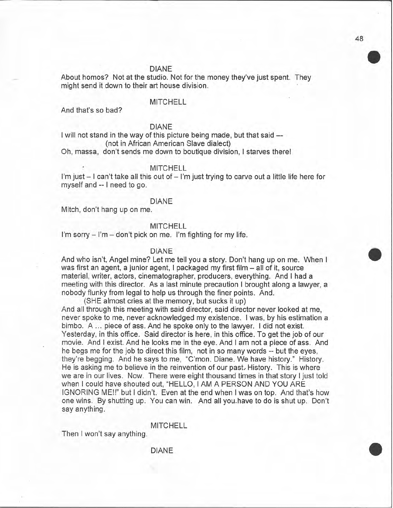#### **DIANE**

About homos? Not at the studio. Not for the money they've just spent. They might send it down to their art house division.

# **MITCHELL**

And that's so bad?

# **DIANE**

I will not stand in the way of this picture being made, but that said --(not in African American Slave dialect)

Oh, massa, don't sends me down to boutique division, I starves there!

#### **MITCHELL**

I'm just - I can't take all this out of - I'm just trying to carve out a little life here for myself and -- I need to go.

### **DIANE**

Mitch, don't hang up on me.

## **MITCHELL**

I'm sorry – I'm – don't pick on me. I'm fighting for my life.

## **DIANE**

And who isn't, Angel mine? Let me tell you a story. Don't hang up on me. When I was first an agent, a junior agent, I packaged my first film - all of it, source material, writer, actors, cinematographer, producers, everything. And I had a meeting with this director. As a last minute precaution I brought along a lawyer, a nobody flunky from legal to help us through the finer points. And.

(SHE almost cries at the memory, but sucks it up) And all through this meeting with said director, said director never looked at me, never spoke to me, never acknowledged my existence. I was, by his estimation a bimbo. A ... piece of ass. And he spoke only to the lawyer. I did not exist. Yesterday, in this office. Said director is here, in this office. To get the job of our movie. And I exist. And he looks me in the eye. And I am not a piece of ass. And he begs me for the job to direct this film, not in so many words -- but the eyes, they're begging. And he says to me, "C'mon. Diane. We have history." History. He is asking me to believe in the reinvention of our past. History. This is where we are in our lives. Now. There were eight thousand times in that story I just told when I could have shouted out, "HELLO, I AM A PERSON AND YOU ARE IGNORING ME!!" but I didn't. Even at the end when I was on top. And that's how one wins. By shutting up. You can win. And all you have to do is shut up. Don't say anything.

**MITCHELL** 

**DIANE** 

Then I won't say anything.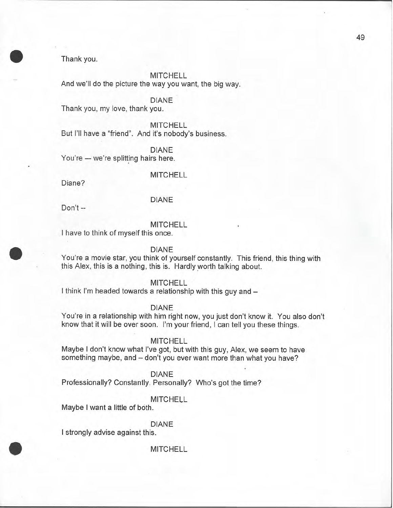Thank you.

**MITCHELL** And we'll do the picture the way you want, the big way.

**DIANE** 

Thank you, my love, thank you.

**MITCHELL** But I'll have a "friend". And it's nobody's business.

**DIANE** You're - we're splitting hairs here.

**MITCHELL** 

Diane?

# **DIANE**

Don't --

# **MITCHELL**

I have to think of myself this once.

## **DIANE**

You're a movie star, you think of yourself constantly. This friend, this thing with this Alex, this is a nothing, this is. Hardly worth talking about.

# **MITCHELL**

I think I'm headed towards a relationship with this guy and -

**DIANE** 

You're in a relationship with him right now, you just don't know it. You also don't know that it will be over soon. I'm your friend, I can tell you these things.

# **MITCHELL**

Maybe I don't know what I've got, but with this guy, Alex, we seem to have something maybe, and - don't you ever want more than what you have?

**DIANE** 

Professionally? Constantly. Personally? Who's got the time?

# **MITCHELL**

Maybe I want a little of both.

# **DIANE**

I strongly advise against this.

# **MITCHELL**